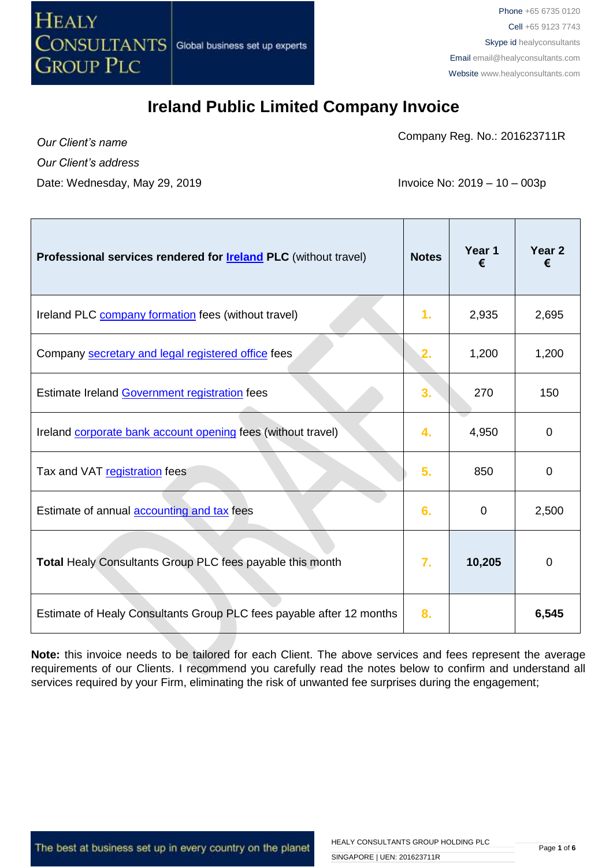

Company Reg. No.: 201623711R

*Our Client's name Our Client's address* Date: Wednesday, May 29, 2019 **Invoice No: 2019** - 10 – 003p

| Professional services rendered for <b>Ireland PLC</b> (without travel) | <b>Notes</b> | Year 1<br>€ | Year 2<br>€ |
|------------------------------------------------------------------------|--------------|-------------|-------------|
| Ireland PLC company formation fees (without travel)                    | 1.           | 2,935       | 2,695       |
| Company secretary and legal registered office fees                     | 2.           | 1,200       | 1,200       |
| Estimate Ireland Government registration fees                          | 3.           | 270         | 150         |
| Ireland corporate bank account opening fees (without travel)           | 4.           | 4,950       | $\mathbf 0$ |
| Tax and VAT registration fees                                          | 5.           | 850         | $\mathbf 0$ |
| Estimate of annual accounting and tax fees                             | 6.           | $\mathbf 0$ | 2,500       |
| Total Healy Consultants Group PLC fees payable this month              | 7.           | 10,205      | $\mathbf 0$ |
| Estimate of Healy Consultants Group PLC fees payable after 12 months   | 8.           |             | 6,545       |

**Note:** this invoice needs to be tailored for each Client. The above services and fees represent the average requirements of our Clients. I recommend you carefully read the notes below to confirm and understand all services required by your Firm, eliminating the risk of unwanted fee surprises during the engagement;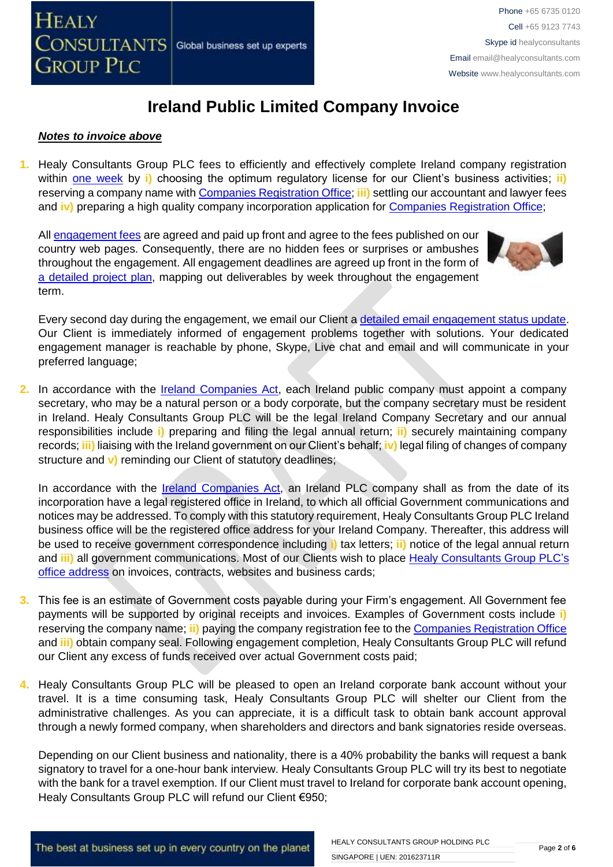#### *Notes to invoice above*

**1.** Healy Consultants Group PLC fees to efficiently and effectively complete Ireland company registration within [one week](http://www.healyconsultants.com/ireland-company-registration/incorporation-steps/) by **i**) choosing the optimum regulatory license for our Client's business activities; **ii**) reserving a company name with [Companies Registration Office;](https://www.cro.ie/Publications/Fees/Company) **iii)** settling our accountant and lawyer fees and **iv**) preparing a high quality company incorporation application for [Companies Registration Office;](https://www.cro.ie/Publications/Fees/Company)

All [engagement fees](http://www.healyconsultants.com/company-registration-fees/) are agreed and paid up front and agree to the fees published on our country web pages. Consequently, there are no hidden fees or surprises or ambushes throughout the engagement. All engagement deadlines are agreed up front in the form of [a detailed project plan,](http://www.healyconsultants.com/index-important-links/example-project-plan/) mapping out deliverables by week throughout the engagement term.



Every second day during the engagement, we email our Client [a detailed email engagement status update.](http://www.healyconsultants.com/index-important-links/weekly-engagement-status-email/) Our Client is immediately informed of engagement problems together with solutions. Your dedicated engagement manager is reachable by phone, Skype, Live chat and email and will communicate in your preferred language;

**2.** In accordance with the [Ireland Companies Act,](http://www.irishstatutebook.ie/1963/en/act/pub/0033/) each Ireland public company must appoint a company secretary, who may be a natural person or a body corporate, but the company secretary must be resident in Ireland. Healy Consultants Group PLC will be the legal Ireland Company Secretary and our annual responsibilities include **i)** preparing and filing the legal annual return; **ii)** securely maintaining company records; **iii)** liaising with the Ireland government on our Client's behalf; **iv)** legal filing of changes of company structure and **v)** reminding our Client of statutory deadlines;

In accordance with the [Ireland Companies Act,](http://www.irishstatutebook.ie/1963/en/act/pub/0033/) an Ireland PLC company shall as from the date of its incorporation have a legal registered office in Ireland, to which all official Government communications and notices may be addressed. To comply with this statutory requirement, Healy Consultants Group PLC Ireland business office will be the registered office address for your Ireland Company. Thereafter, this address will be used to receive government correspondence including **i)** tax letters; **ii)** notice of the legal annual return and **iii)** all government communications. Most of our Clients wish to place [Healy Consultants Group PLC's](http://www.healyconsultants.com/corporate-outsourcing-services/company-secretary-and-legal-registered-office/) [office address](http://www.healyconsultants.com/corporate-outsourcing-services/company-secretary-and-legal-registered-office/) on invoices, contracts, websites and business cards;

- **3.** This fee is an estimate of Government costs payable during your Firm's engagement. All Government fee payments will be supported by original receipts and invoices. Examples of Government costs include **i)** reserving the company name; **ii)** paying the company registration fee to the [Companies Registration Office](https://www.cro.ie/Publications/Fees/Company) and **iii)** obtain company seal. Following engagement completion, Healy Consultants Group PLC will refund our Client any excess of funds received over actual Government costs paid;
- **4.** Healy Consultants Group PLC will be pleased to open an Ireland corporate bank account without your travel. It is a time consuming task, Healy Consultants Group PLC will shelter our Client from the administrative challenges. As you can appreciate, it is a difficult task to obtain bank account approval through a newly formed company, when shareholders and directors and bank signatories reside overseas.

Depending on our Client business and nationality, there is a 40% probability the banks will request a bank signatory to travel for a one-hour bank interview. Healy Consultants Group PLC will try its best to negotiate with the bank for a travel exemption. If our Client must travel to Ireland for corporate bank account opening, Healy Consultants Group PLC will refund our Client €950;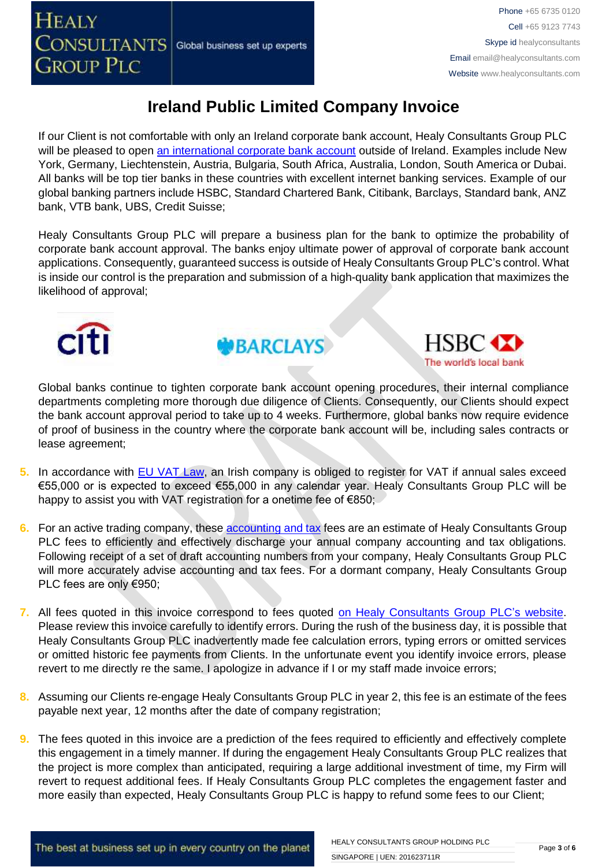If our Client is not comfortable with only an Ireland corporate bank account, Healy Consultants Group PLC will be pleased to open [an international corporate bank account](http://www.healyconsultants.com/international-banking/) outside of Ireland. Examples include New York, Germany, Liechtenstein, Austria, Bulgaria, South Africa, Australia, London, South America or Dubai. All banks will be top tier banks in these countries with excellent internet banking services. Example of our global banking partners include HSBC, Standard Chartered Bank, Citibank, Barclays, Standard bank, ANZ bank, VTB bank, UBS, Credit Suisse;

Healy Consultants Group PLC will prepare a business plan for the bank to optimize the probability of corporate bank account approval. The banks enjoy ultimate power of approval of corporate bank account applications. Consequently, guaranteed success is outside of Healy Consultants Group PLC's control. What is inside our control is the preparation and submission of a high-quality bank application that maximizes the likelihood of approval;







Global banks continue to tighten corporate bank account opening procedures, their internal compliance departments completing more thorough due diligence of Clients. Consequently, our Clients should expect the bank account approval period to take up to 4 weeks. Furthermore, global banks now require evidence of proof of business in the country where the corporate bank account will be, including sales contracts or lease agreement;

- **5.** In accordance with **EU VAT Law**, an Irish company is obliged to register for VAT if annual sales exceed €55,000 or is expected to exceed €55,000 in any calendar year. Healy Consultants Group PLC will be happy to assist you with VAT registration for a onetime fee of €850;
- **6.** For an active trading company, thes[e accounting and tax](http://www.healyconsultants.com/ireland-company-registration/accounting-legal/) fees are an estimate of Healy Consultants Group PLC fees to efficiently and effectively discharge your annual company accounting and tax obligations. Following receipt of a set of draft accounting numbers from your company, Healy Consultants Group PLC will more accurately advise accounting and tax fees. For a dormant company, Healy Consultants Group PLC fees are only €950;
- **7.** All fees quoted in this invoice correspond to fees quoted [on Healy Consultants Group PLC's](http://www.healyconsultants.com/company-registration-fees/) website. Please review this invoice carefully to identify errors. During the rush of the business day, it is possible that Healy Consultants Group PLC inadvertently made fee calculation errors, typing errors or omitted services or omitted historic fee payments from Clients. In the unfortunate event you identify invoice errors, please revert to me directly re the same. I apologize in advance if I or my staff made invoice errors;
- **8.** Assuming our Clients re-engage Healy Consultants Group PLC in year 2, this fee is an estimate of the fees payable next year, 12 months after the date of company registration;
- **9.** The fees quoted in this invoice are a prediction of the fees required to efficiently and effectively complete this engagement in a timely manner. If during the engagement Healy Consultants Group PLC realizes that the project is more complex than anticipated, requiring a large additional investment of time, my Firm will revert to request additional fees. If Healy Consultants Group PLC completes the engagement faster and more easily than expected, Healy Consultants Group PLC is happy to refund some fees to our Client;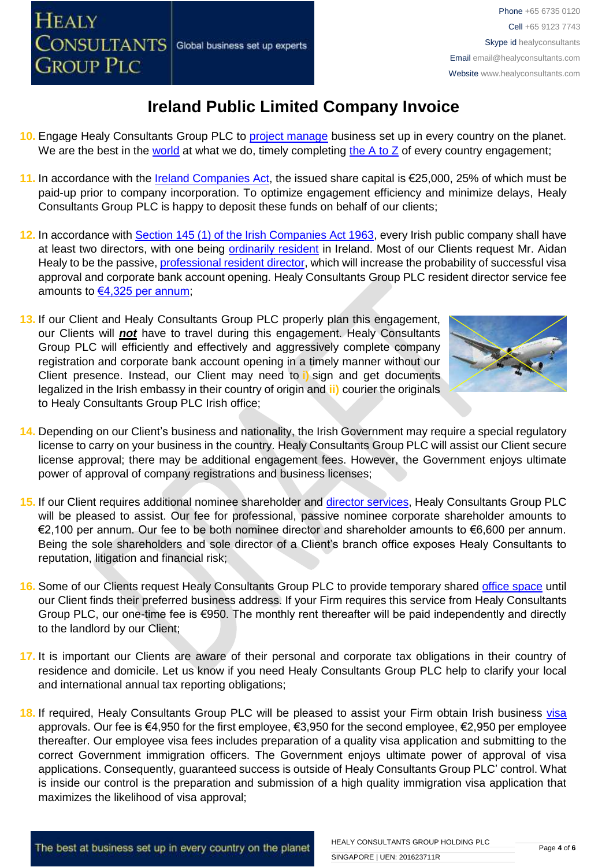- **13.** If our Client and Healy Consultants Group PLC properly plan this engagement, our Clients will *not* have to travel during this engagement. Healy Consultants Group PLC will efficiently and effectively and aggressively complete company registration and corporate bank account opening in a timely manner without our Client presence. Instead, our Client may need to **i)** sign and get documents legalized in the Irish embassy in their country of origin and **ii)** courier the originals to Healy Consultants Group PLC Irish office;
- **14.** Depending on our Client's business and nationality, the Irish Government may require a special regulatory license to carry on your business in the country. Healy Consultants Group PLC will assist our Client secure license approval; there may be additional engagement fees. However, the Government enjoys ultimate power of approval of company registrations and business licenses;
- **15.** If our Client requires additional nominee shareholder and [director services,](http://www.healyconsultants.com/resident-director-services/) Healy Consultants Group PLC will be pleased to assist. Our fee for professional, passive nominee corporate shareholder amounts to €2,100 per annum. Our fee to be both nominee director and shareholder amounts to €6,600 per annum. Being the sole shareholders and sole director of a Client's branch office exposes Healy Consultants to reputation, litigation and financial risk;
- 16. Some of our Clients request Healy Consultants Group PLC to provide temporary shared [office space](http://www.healyconsultants.com/virtual-office/) until our Client finds their preferred business address. If your Firm requires this service from Healy Consultants Group PLC, our one-time fee is €950. The monthly rent thereafter will be paid independently and directly to the landlord by our Client;
- **17.** It is important our Clients are aware of their personal and corporate tax obligations in their country of residence and domicile. Let us know if you need Healy Consultants Group PLC help to clarify your local and international annual tax reporting obligations;
- **18.** If required, Healy Consultants Group PLC will be pleased to assist your Firm obtain Irish business [visa](http://www.healyconsultants.com/ireland-company-registration/employment-visas/)  approvals. Our fee is €4,950 for the first employee, €3,950 for the second employee, €2,950 per employee thereafter. Our employee visa fees includes preparation of a quality visa application and submitting to the correct Government immigration officers. The Government enjoys ultimate power of approval of visa applications. Consequently, guaranteed success is outside of Healy Consultants Group PLC' control. What is inside our control is the preparation and submission of a high quality immigration visa application that maximizes the likelihood of visa approval;
- We are the best in the [world](http://www.healyconsultants.com/best-in-the-world/) at what we do, timely completing the  $A$  to  $Z$  of every country engagement;
- **11.** In accordance with the [Ireland Companies Act,](http://www.irishstatutebook.ie/1963/en/act/pub/0033/) the issued share capital is €25,000, 25% of which must be paid-up prior to company incorporation. To optimize engagement efficiency and minimize delays, Healy Consultants Group PLC is happy to deposit these funds on behalf of our clients;
- **12.** In accordance with [Section 145 \(1\) of the Irish Companies Act 1963,](http://www.irishstatutebook.ie/1963/en/act/pub/0033/sec0145.html) every Irish public company shall have at least two directors, with one being [ordinarily resident](http://www.healyconsultants.com/resident-director-services/) in Ireland. Most of our Clients request Mr. Aidan Healy to be the passive, [professional resident director,](http://www.healyconsultants.com/resident-director-services/) which will increase the probability of successful visa approval and corporate bank account opening. Healy Consultants Group PLC resident director service fee amounts to [€4,325 per annum;](http://www.healyconsultants.com/corporate-advisory-services/resident-director-services/)
- **Ireland Public Limited Company Invoice 10.** Engage Healy Consultants Group PLC to [project manage](http://www.healyconsultants.com/project-manage-engagements/) business set up in every country on the planet.



## **HEALY** CONSULTANTS Global business set up experts **GROUP PLC**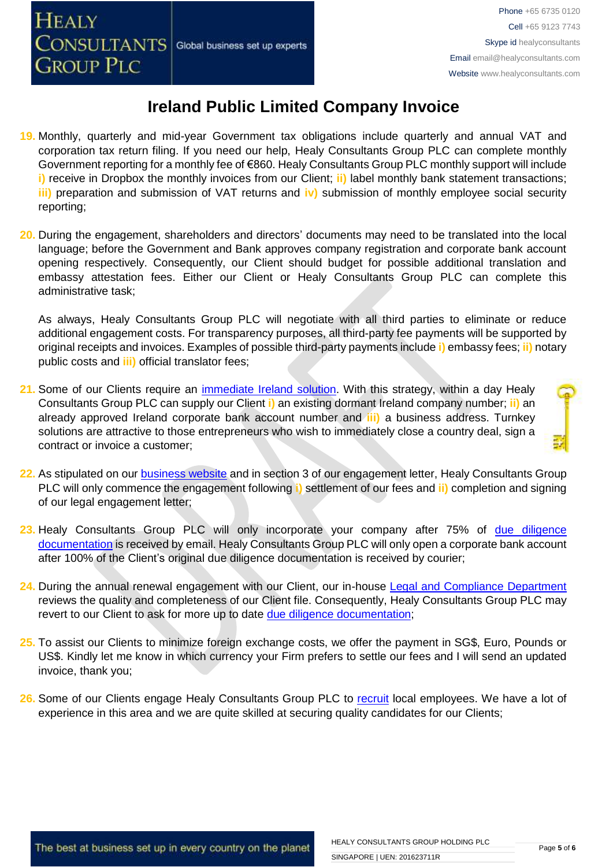- **19.** Monthly, quarterly and mid-year Government tax obligations include quarterly and annual VAT and corporation tax return filing. If you need our help, Healy Consultants Group PLC can complete monthly Government reporting for a monthly fee of €860. Healy Consultants Group PLC monthly support will include **i)** receive in Dropbox the monthly invoices from our Client; **ii**) label monthly bank statement transactions; **iii)** preparation and submission of VAT returns and **iv)** submission of monthly employee social security reporting;
- **20.** During the engagement, shareholders and directors' documents may need to be translated into the local language; before the Government and Bank approves company registration and corporate bank account opening respectively. Consequently, our Client should budget for possible additional translation and embassy attestation fees. Either our Client or Healy Consultants Group PLC can complete this administrative task;

As always, Healy Consultants Group PLC will negotiate with all third parties to eliminate or reduce additional engagement costs. For transparency purposes, all third-party fee payments will be supported by original receipts and invoices. Examples of possible third-party payments include **i)** embassy fees; **ii)** notary public costs and **iii)** official translator fees;

- **21.** Some of our Clients require an [immediate Ireland](http://www.healyconsultants.com/turnkey-solutions/) solution. With this strategy, within a day Healy Consultants Group PLC can supply our Client **i)** an existing dormant Ireland company number; **ii)** an already approved Ireland corporate bank account number and **iii)** a business address. Turnkey solutions are attractive to those entrepreneurs who wish to immediately close a country deal, sign a contract or invoice a customer;
- **22.** As stipulated on our [business website](http://www.healyconsultants.com/) and in section 3 of our engagement letter, Healy Consultants Group PLC will only commence the engagement following **i)** settlement of our fees and **ii)** completion and signing of our legal engagement letter;
- 23. Healy Consultants Group PLC will only incorporate your company after 75% of due diligence [documentation](http://www.healyconsultants.com/due-diligence/) is received by email. Healy Consultants Group PLC will only open a corporate bank account after 100% of the Client's original due diligence documentation is received by courier;
- **24.** During the annual renewal engagement with our Client, our in-house [Legal and Compliance Department](http://www.healyconsultants.com/about-us/key-personnel/cai-xin-profile/) reviews the quality and completeness of our Client file. Consequently, Healy Consultants Group PLC may revert to our Client to ask for more up to date [due diligence documentation;](http://www.healyconsultants.com/due-diligence/)
- **25.** To assist our Clients to minimize foreign exchange costs, we offer the payment in SG\$, Euro, Pounds or US\$. Kindly let me know in which currency your Firm prefers to settle our fees and I will send an updated invoice, thank you;
- **26.** Some of our Clients engage Healy Consultants Group PLC to [recruit](http://www.healyconsultants.com/corporate-outsourcing-services/how-we-help-our-clients-recruit-quality-employees/) local employees. We have a lot of experience in this area and we are quite skilled at securing quality candidates for our Clients;